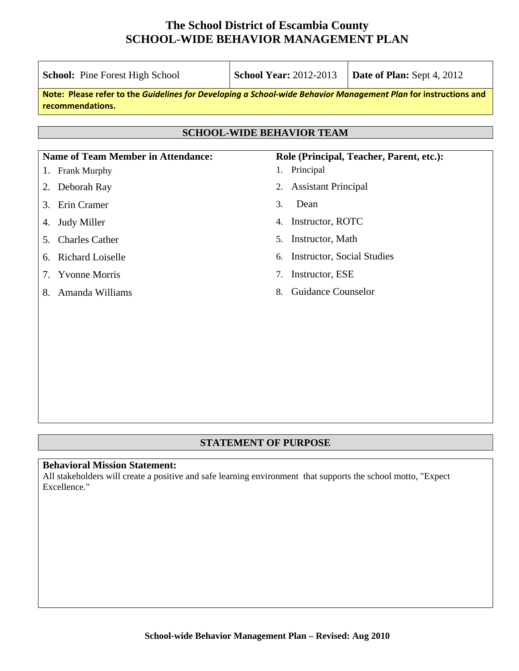| <b>School:</b> Pine Forest High School                                                                                              | <b>School Year: 2012-2013</b>           | Date of Plan: Sept 4, 2012 |  |  |  |  |  |
|-------------------------------------------------------------------------------------------------------------------------------------|-----------------------------------------|----------------------------|--|--|--|--|--|
| Note: Please refer to the Guidelines for Developing a School-wide Behavior Management Plan for instructions and<br>recommendations. |                                         |                            |  |  |  |  |  |
|                                                                                                                                     |                                         |                            |  |  |  |  |  |
|                                                                                                                                     | <b>SCHOOL-WIDE BEHAVIOR TEAM</b>        |                            |  |  |  |  |  |
| <b>Name of Team Member in Attendance:</b><br>Role (Principal, Teacher, Parent, etc.):                                               |                                         |                            |  |  |  |  |  |
| Frank Murphy<br>1.                                                                                                                  | 1. Principal                            |                            |  |  |  |  |  |
| Deborah Ray<br>2.                                                                                                                   | <b>Assistant Principal</b><br>2.        |                            |  |  |  |  |  |
| Erin Cramer<br>3.                                                                                                                   | Dean<br>3.                              |                            |  |  |  |  |  |
| <b>Judy Miller</b><br>4.                                                                                                            | Instructor, ROTC<br>4.                  |                            |  |  |  |  |  |
| <b>Charles Cather</b><br>5.                                                                                                         | Instructor, Math<br>5.                  |                            |  |  |  |  |  |
| <b>Richard Loiselle</b><br>6.                                                                                                       | <b>Instructor, Social Studies</b><br>6. |                            |  |  |  |  |  |
| <b>Yvonne Morris</b><br>7.                                                                                                          | Instructor, ESE<br>7.                   |                            |  |  |  |  |  |
| Amanda Williams<br>8.                                                                                                               | <b>Guidance Counselor</b><br>8.         |                            |  |  |  |  |  |
|                                                                                                                                     |                                         |                            |  |  |  |  |  |
|                                                                                                                                     |                                         |                            |  |  |  |  |  |
|                                                                                                                                     |                                         |                            |  |  |  |  |  |
|                                                                                                                                     |                                         |                            |  |  |  |  |  |
|                                                                                                                                     |                                         |                            |  |  |  |  |  |

### **STATEMENT OF PURPOSE**

#### **Behavioral Mission Statement:**

All stakeholders will create a positive and safe learning environment that supports the school motto, "Expect Excellence."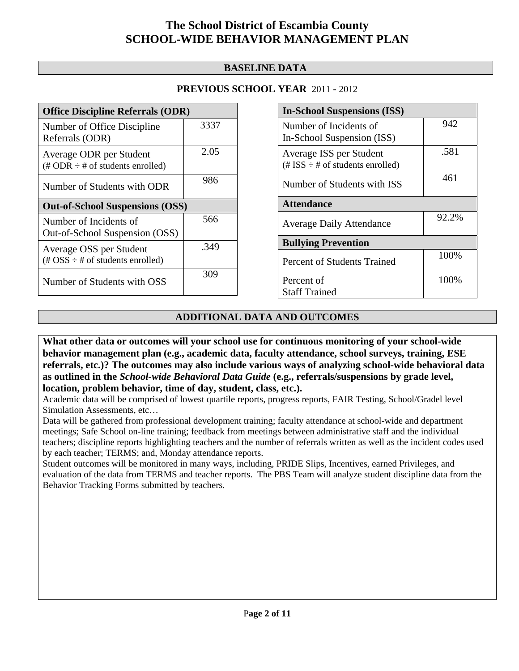### **BASELINE DATA**

### **PREVIOUS SCHOOL YEAR** 2011 - 2012

| <b>Office Discipline Referrals (ODR)</b>                                                        |      |  |  |  |
|-------------------------------------------------------------------------------------------------|------|--|--|--|
| Number of Office Discipline<br>Referrals (ODR)                                                  | 3337 |  |  |  |
| Average ODR per Student<br>$(\text{\# ODR} \div \text{\# of students enrolled})$                | 2.05 |  |  |  |
| Number of Students with ODR                                                                     | 986  |  |  |  |
| <b>Out-of-School Suspensions (OSS)</b>                                                          |      |  |  |  |
|                                                                                                 |      |  |  |  |
| Number of Incidents of<br>Out-of-School Suspension (OSS)                                        | 566  |  |  |  |
| Average OSS per Student<br>$(\text{\#} \text{OSS} \div \text{\#} \text{ of students enrolled})$ | .349 |  |  |  |

| <b>In-School Suspensions (ISS)</b>                                 |       |  |  |
|--------------------------------------------------------------------|-------|--|--|
| Number of Incidents of                                             | 942   |  |  |
| In-School Suspension (ISS)                                         |       |  |  |
| Average ISS per Student<br>$(\# ISS \div \# of students enrolled)$ | .581  |  |  |
| Number of Students with ISS                                        | 461   |  |  |
| <b>Attendance</b>                                                  |       |  |  |
| <b>Average Daily Attendance</b>                                    | 92.2% |  |  |
| <b>Bullying Prevention</b>                                         |       |  |  |
| Percent of Students Trained                                        | 100%  |  |  |
| Percent of                                                         | 100%  |  |  |
| <b>Staff Trained</b>                                               |       |  |  |

### **ADDITIONAL DATA AND OUTCOMES**

**What other data or outcomes will your school use for continuous monitoring of your school-wide behavior management plan (e.g., academic data, faculty attendance, school surveys, training, ESE referrals, etc.)? The outcomes may also include various ways of analyzing school-wide behavioral data as outlined in the** *School-wide Behavioral Data Guide* **(e.g., referrals/suspensions by grade level, location, problem behavior, time of day, student, class, etc.).**

Academic data will be comprised of lowest quartile reports, progress reports, FAIR Testing, School/Gradel level Simulation Assessments, etc…

Data will be gathered from professional development training; faculty attendance at school-wide and department meetings; Safe School on-line training; feedback from meetings between administrative staff and the individual teachers; discipline reports highlighting teachers and the number of referrals written as well as the incident codes used by each teacher; TERMS; and, Monday attendance reports.

Student outcomes will be monitored in many ways, including, PRIDE Slips, Incentives, earned Privileges, and evaluation of the data from TERMS and teacher reports. The PBS Team will analyze student discipline data from the Behavior Tracking Forms submitted by teachers.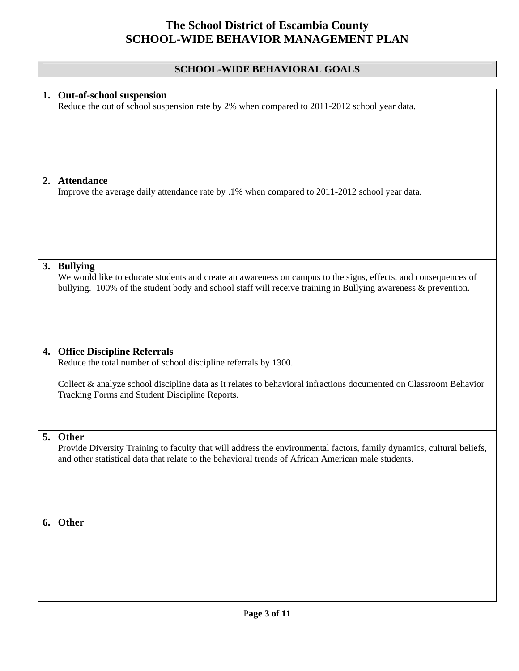### **SCHOOL-WIDE BEHAVIORAL GOALS**

|    | 1. Out-of-school suspension<br>Reduce the out of school suspension rate by 2% when compared to 2011-2012 school year data.                                                                                                                     |
|----|------------------------------------------------------------------------------------------------------------------------------------------------------------------------------------------------------------------------------------------------|
|    |                                                                                                                                                                                                                                                |
|    |                                                                                                                                                                                                                                                |
| 2. | <b>Attendance</b><br>Improve the average daily attendance rate by .1% when compared to 2011-2012 school year data.                                                                                                                             |
|    |                                                                                                                                                                                                                                                |
|    |                                                                                                                                                                                                                                                |
|    | 3. Bullying<br>We would like to educate students and create an awareness on campus to the signs, effects, and consequences of<br>bullying. 100% of the student body and school staff will receive training in Bullying awareness & prevention. |
|    |                                                                                                                                                                                                                                                |
| 4. | <b>Office Discipline Referrals</b>                                                                                                                                                                                                             |
|    | Reduce the total number of school discipline referrals by 1300.                                                                                                                                                                                |
|    | Collect & analyze school discipline data as it relates to behavioral infractions documented on Classroom Behavior<br>Tracking Forms and Student Discipline Reports.                                                                            |
|    |                                                                                                                                                                                                                                                |
|    | 5. Other                                                                                                                                                                                                                                       |
|    | Provide Diversity Training to faculty that will address the environmental factors, family dynamics, cultural beliefs,<br>and other statistical data that relate to the behavioral trends of African American male students.                    |
|    |                                                                                                                                                                                                                                                |
|    | 6. Other                                                                                                                                                                                                                                       |
|    |                                                                                                                                                                                                                                                |
|    |                                                                                                                                                                                                                                                |
|    |                                                                                                                                                                                                                                                |
|    |                                                                                                                                                                                                                                                |
|    |                                                                                                                                                                                                                                                |
|    |                                                                                                                                                                                                                                                |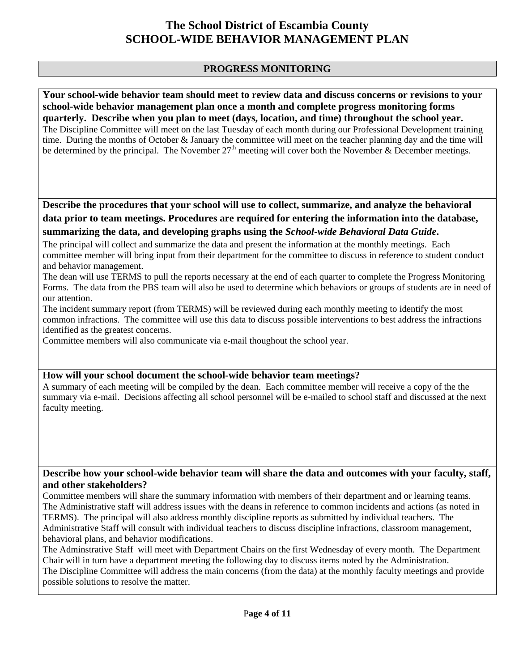### **PROGRESS MONITORING**

**Your school-wide behavior team should meet to review data and discuss concerns or revisions to your school-wide behavior management plan once a month and complete progress monitoring forms quarterly. Describe when you plan to meet (days, location, and time) throughout the school year.**  The Discipline Committee will meet on the last Tuesday of each month during our Professional Development training time. During the months of October & January the committee will meet on the teacher planning day and the time will be determined by the principal. The November  $27<sup>th</sup>$  meeting will cover both the November & December meetings.

**Describe the procedures that your school will use to collect, summarize, and analyze the behavioral data prior to team meetings. Procedures are required for entering the information into the database, summarizing the data, and developing graphs using the** *School-wide Behavioral Data Guide***.** 

The principal will collect and summarize the data and present the information at the monthly meetings. Each committee member will bring input from their department for the committee to discuss in reference to student conduct and behavior management.

The dean will use TERMS to pull the reports necessary at the end of each quarter to complete the Progress Monitoring Forms. The data from the PBS team will also be used to determine which behaviors or groups of students are in need of our attention.

The incident summary report (from TERMS) will be reviewed during each monthly meeting to identify the most common infractions. The committee will use this data to discuss possible interventions to best address the infractions identified as the greatest concerns.

Committee members will also communicate via e-mail thoughout the school year.

### **How will your school document the school-wide behavior team meetings?**

A summary of each meeting will be compiled by the dean. Each committee member will receive a copy of the the summary via e-mail. Decisions affecting all school personnel will be e-mailed to school staff and discussed at the next faculty meeting.

#### **Describe how your school-wide behavior team will share the data and outcomes with your faculty, staff, and other stakeholders?**

Committee members will share the summary information with members of their department and or learning teams. The Administrative staff will address issues with the deans in reference to common incidents and actions (as noted in TERMS). The principal will also address monthly discipline reports as submitted by individual teachers. The Administrative Staff will consult with individual teachers to discuss discipline infractions, classroom management, behavioral plans, and behavior modifications.

The Adminstrative Staff will meet with Department Chairs on the first Wednesday of every month. The Department Chair will in turn have a department meeting the following day to discuss items noted by the Administration. The Discipline Committee will address the main concerns (from the data) at the monthly faculty meetings and provide possible solutions to resolve the matter.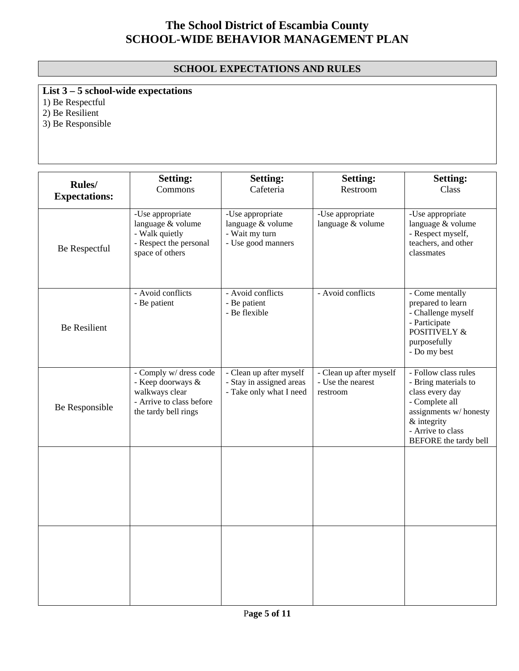### **SCHOOL EXPECTATIONS AND RULES**

**List 3 – 5 school-wide expectations**

1) Be Respectful

2) Be Resilient

3) Be Responsible

| Rules/<br><b>Expectations:</b> | <b>Setting:</b><br>Commons                                                                                        | <b>Setting:</b><br>Cafeteria                                                   | <b>Setting:</b><br>Restroom                              | <b>Setting:</b><br>Class                                                                                                                                                |
|--------------------------------|-------------------------------------------------------------------------------------------------------------------|--------------------------------------------------------------------------------|----------------------------------------------------------|-------------------------------------------------------------------------------------------------------------------------------------------------------------------------|
| Be Respectful                  | -Use appropriate<br>language & volume<br>- Walk quietly<br>- Respect the personal<br>space of others              | -Use appropriate<br>language & volume<br>- Wait my turn<br>- Use good manners  | -Use appropriate<br>language & volume                    | -Use appropriate<br>language & volume<br>- Respect myself,<br>teachers, and other<br>classmates                                                                         |
| <b>Be Resilient</b>            | - Avoid conflicts<br>- Be patient                                                                                 | - Avoid conflicts<br>- Be patient<br>- Be flexible                             | - Avoid conflicts                                        | - Come mentally<br>prepared to learn<br>- Challenge myself<br>- Participate<br><b>POSITIVELY &amp;</b><br>purposefully<br>- Do my best                                  |
| Be Responsible                 | - Comply w/ dress code<br>- Keep doorways &<br>walkways clear<br>- Arrive to class before<br>the tardy bell rings | - Clean up after myself<br>- Stay in assigned areas<br>- Take only what I need | - Clean up after myself<br>- Use the nearest<br>restroom | - Follow class rules<br>- Bring materials to<br>class every day<br>- Complete all<br>assignments w/honesty<br>& integrity<br>- Arrive to class<br>BEFORE the tardy bell |
|                                |                                                                                                                   |                                                                                |                                                          |                                                                                                                                                                         |
|                                |                                                                                                                   |                                                                                |                                                          |                                                                                                                                                                         |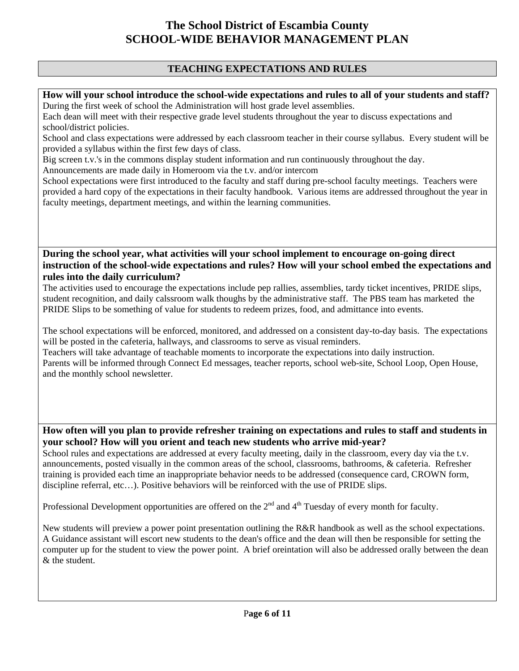### **TEACHING EXPECTATIONS AND RULES**

**How will your school introduce the school-wide expectations and rules to all of your students and staff?**  During the first week of school the Administration will host grade level assemblies.

Each dean will meet with their respective grade level students throughout the year to discuss expectations and school/district policies.

School and class expectations were addressed by each classroom teacher in their course syllabus. Every student will be provided a syllabus within the first few days of class.

Big screen t.v.'s in the commons display student information and run continuously throughout the day.

Announcements are made daily in Homeroom via the t.v. and/or intercom

School expectations were first introduced to the faculty and staff during pre-school faculty meetings. Teachers were provided a hard copy of the expectations in their faculty handbook. Various items are addressed throughout the year in faculty meetings, department meetings, and within the learning communities.

**During the school year, what activities will your school implement to encourage on-going direct instruction of the school-wide expectations and rules? How will your school embed the expectations and rules into the daily curriculum?** 

The activities used to encourage the expectations include pep rallies, assemblies, tardy ticket incentives, PRIDE slips, student recognition, and daily calssroom walk thoughs by the administrative staff. The PBS team has marketed the PRIDE Slips to be something of value for students to redeem prizes, food, and admittance into events.

The school expectations will be enforced, monitored, and addressed on a consistent day-to-day basis. The expectations will be posted in the cafeteria, hallways, and classrooms to serve as visual reminders.

Teachers will take advantage of teachable moments to incorporate the expectations into daily instruction. Parents will be informed through Connect Ed messages, teacher reports, school web-site, School Loop, Open House, and the monthly school newsletter.

**How often will you plan to provide refresher training on expectations and rules to staff and students in your school? How will you orient and teach new students who arrive mid-year?** 

School rules and expectations are addressed at every faculty meeting, daily in the classroom, every day via the t.v. announcements, posted visually in the common areas of the school, classrooms, bathrooms, & cafeteria. Refresher training is provided each time an inappropriate behavior needs to be addressed (consequence card, CROWN form, discipline referral, etc…). Positive behaviors will be reinforced with the use of PRIDE slips.

Professional Development opportunities are offered on the 2<sup>nd</sup> and 4<sup>th</sup> Tuesday of every month for faculty.

New students will preview a power point presentation outlining the R&R handbook as well as the school expectations. A Guidance assistant will escort new students to the dean's office and the dean will then be responsible for setting the computer up for the student to view the power point. A brief oreintation will also be addressed orally between the dean & the student.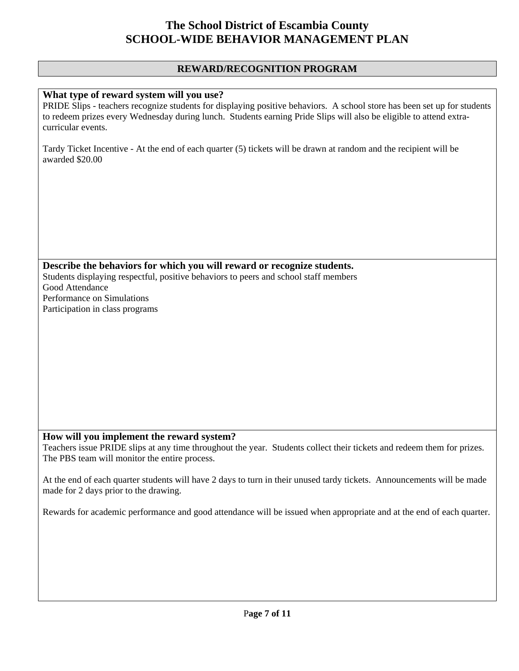#### **REWARD/RECOGNITION PROGRAM**

#### **What type of reward system will you use?**

PRIDE Slips - teachers recognize students for displaying positive behaviors. A school store has been set up for students to redeem prizes every Wednesday during lunch. Students earning Pride Slips will also be eligible to attend extracurricular events.

Tardy Ticket Incentive - At the end of each quarter (5) tickets will be drawn at random and the recipient will be awarded \$20.00

**Describe the behaviors for which you will reward or recognize students.**  Students displaying respectful, positive behaviors to peers and school staff members Good Attendance Performance on Simulations Participation in class programs

#### **How will you implement the reward system?**

Teachers issue PRIDE slips at any time throughout the year. Students collect their tickets and redeem them for prizes. The PBS team will monitor the entire process.

At the end of each quarter students will have 2 days to turn in their unused tardy tickets. Announcements will be made made for 2 days prior to the drawing.

Rewards for academic performance and good attendance will be issued when appropriate and at the end of each quarter.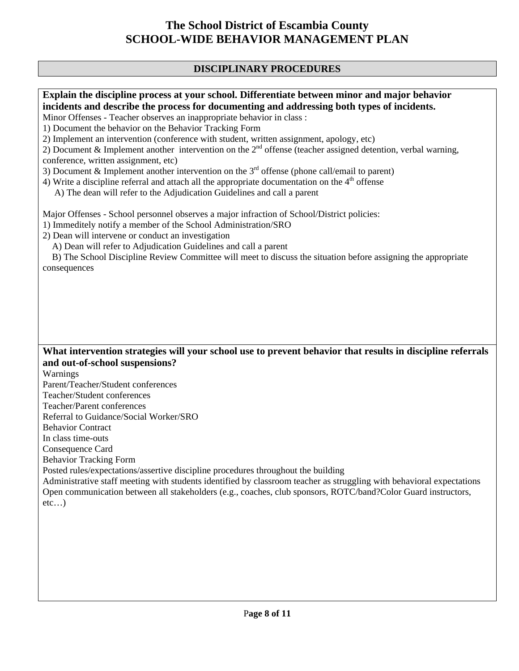### **DISCIPLINARY PROCEDURES**

**Explain the discipline process at your school. Differentiate between minor and major behavior incidents and describe the process for documenting and addressing both types of incidents.** 

Minor Offenses - Teacher observes an inappropriate behavior in class :

1) Document the behavior on the Behavior Tracking Form

2) Implement an intervention (conference with student, written assignment, apology, etc)

2) Document & Implement another intervention on the  $2<sup>nd</sup>$  offense (teacher assigned detention, verbal warning, conference, written assignment, etc)

3) Document & Implement another intervention on the  $3<sup>rd</sup>$  offense (phone call/email to parent)

4) Write a discipline referral and attach all the appropriate documentation on the  $4<sup>th</sup>$  offense

A) The dean will refer to the Adjudication Guidelines and call a parent

Major Offenses - School personnel observes a major infraction of School/District policies:

1) Immeditely notify a member of the School Administration/SRO

2) Dean will intervene or conduct an investigation

A) Dean will refer to Adjudication Guidelines and call a parent

 B) The School Discipline Review Committee will meet to discuss the situation before assigning the appropriate consequences

### **What intervention strategies will your school use to prevent behavior that results in discipline referrals and out-of-school suspensions?**

Warnings

Parent/Teacher/Student conferences

Teacher/Student conferences

Teacher/Parent conferences

Referral to Guidance/Social Worker/SRO

Behavior Contract

In class time-outs

Consequence Card

Behavior Tracking Form

Posted rules/expectations/assertive discipline procedures throughout the building

Administrative staff meeting with students identified by classroom teacher as struggling with behavioral expectations Open communication between all stakeholders (e.g., coaches, club sponsors, ROTC/band?Color Guard instructors,  $etc...$ )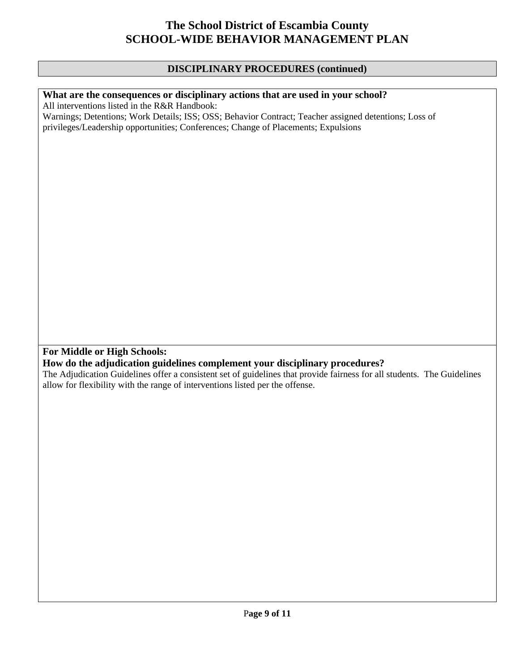#### **DISCIPLINARY PROCEDURES (continued)**

### **What are the consequences or disciplinary actions that are used in your school?**

All interventions listed in the R&R Handbook:

Warnings; Detentions; Work Details; ISS; OSS; Behavior Contract; Teacher assigned detentions; Loss of privileges/Leadership opportunities; Conferences; Change of Placements; Expulsions

**For Middle or High Schools:** 

### **How do the adjudication guidelines complement your disciplinary procedures?**

The Adjudication Guidelines offer a consistent set of guidelines that provide fairness for all students. The Guidelines allow for flexibility with the range of interventions listed per the offense.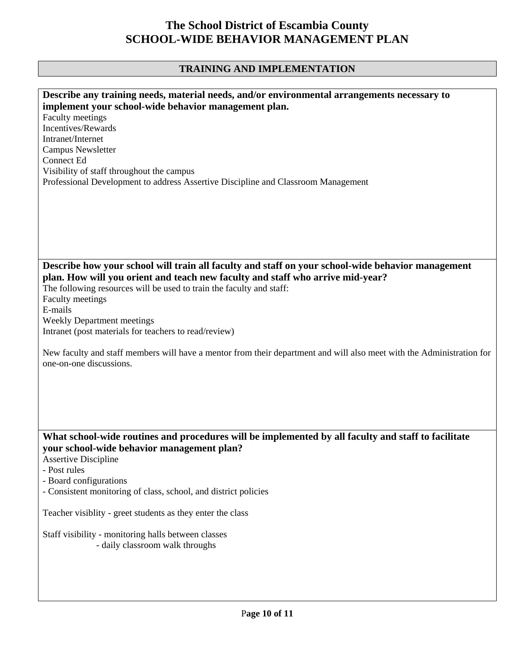### **TRAINING AND IMPLEMENTATION**